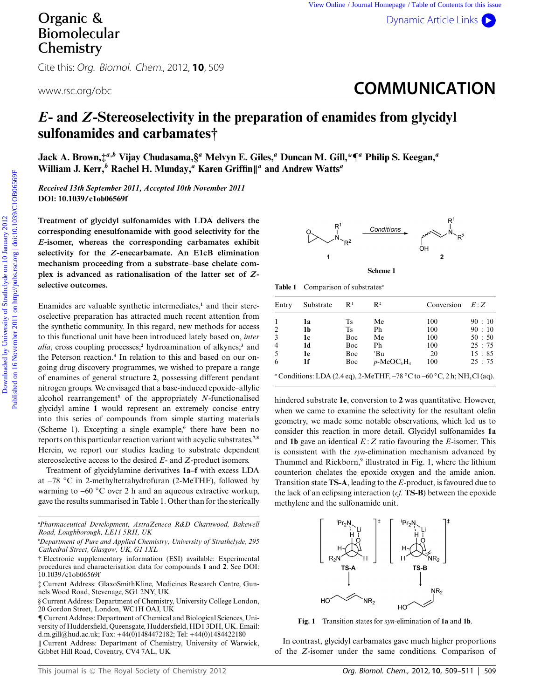## Organic & Biomolecular **Chemistry**

Cite this: Org. Biomol. Chem., 2012, **10**, 509

www.rsc.org/obc**. COMMUNICATION** 

## *E***- and** *Z***-Stereoselectivity in the preparation of enamides from glycidyl sulfonamides and carbamates†**

**Jack A. Brown,‡***<sup>a</sup>,<sup>b</sup>* **Vijay Chudasama,§***<sup>a</sup>* **Melvyn E. Giles,***<sup>a</sup>* **Duncan M. Gill,\***¶*<sup>a</sup>* **Philip S. Keegan,***<sup>a</sup>* **William J. Kerr,***<sup>b</sup>* **Rachel H. Munday,***<sup>a</sup>* **Karen Griffin-***<sup>a</sup>* **and Andrew Watts***<sup>a</sup>*

*Received 13th September 2011, Accepted 10th November 2011* **DOI: 10.1039/c1ob06569f**

**Treatment of glycidyl sulfonamides with LDA delivers the corresponding enesulfonamide with good selectivity for the** *E***-isomer, whereas the corresponding carbamates exhibit selectivity for the** *Z***-enecarbamate. An E1cB elimination mechanism proceeding from a substrate–base chelate complex is advanced as rationalisation of the latter set of** *Z***selective outcomes.**

Enamides are valuable synthetic intermediates,**<sup>1</sup>** and their stereoselective preparation has attracted much recent attention from the synthetic community. In this regard, new methods for access to this functional unit have been introduced lately based on, *inter alia*, cross coupling processes;**<sup>2</sup>** hydroamination of alkynes;**<sup>3</sup>** and the Peterson reaction.**<sup>4</sup>** In relation to this and based on our ongoing drug discovery programmes, we wished to prepare a range of enamines of general structure **2**, possessing different pendant nitrogen groups. We envisaged that a base-induced epoxide–allylic alcohol rearrangement**<sup>5</sup>** of the appropriately *N*-functionalised glycidyl amine **1** would represent an extremely concise entry into this series of compounds from simple starting materials (Scheme 1). Excepting a single example,**<sup>6</sup>** there have been no reports on this particular reaction variant with acyclic substrates.**7,8** Herein, we report our studies leading to substrate dependent stereoselective access to the desired *E*- and *Z*-product isomers. **Companie &** View Osline Jeannificant Dynemic Article Christian Companies of Companies and Companies of Companies and Companies of the Contents of Strathcline (Figure 2011 on 16 November 2011 on the Contents of the Conten

Treatment of glycidylamine derivatives **1a–f** with excess LDA at -78 *◦*C in 2-methyltetrahydrofuran (2-MeTHF), followed by warming to -60 *◦*C over 2 h and an aqueous extractive workup, gave the results summarised in Table 1. Other than for the sterically

- Current Address: Department of Chemistry, University of Warwick, Gibbet Hill Road, Coventry, CV4 7AL, UK



**Table 1** Comparison of substrates*<sup>a</sup>*

| Entry | Substrate | R <sup>1</sup> | $\mathbf{R}^2$                                                                                          | Conversion | E:Z   |
|-------|-----------|----------------|---------------------------------------------------------------------------------------------------------|------------|-------|
|       | 1a        | Ts.            | Me                                                                                                      | 100        | 90:10 |
| 2     | 1b        | <b>Ts</b>      | Ph                                                                                                      | 100        | 90:10 |
| 3     | 1c        | Boc            | Me                                                                                                      | 100        | 50:50 |
| 4     | 1d        | Boc            | Ph                                                                                                      | 100        | 25:75 |
| 5     | 1e        | Boc            | $\mathbf{B}^{\prime}$                                                                                   | 20         | 15:85 |
| 6     | 1f        | Boc            | $p$ -MeOC <sub>6</sub> H <sub>4</sub>                                                                   | 100        | 25:75 |
|       |           |                | " Conditions: LDA (2.4 eq), 2-MeTHF, $-78\text{ °C}$ to $-60\text{ °C}$ , 2 h; NH <sub>4</sub> Cl (aq). |            |       |

hindered substrate **1e**, conversion to **2** was quantitative. However, when we came to examine the selectivity for the resultant olefin geometry, we made some notable observations, which led us to consider this reaction in more detail. Glycidyl sulfonamides **1a** and **1b** gave an identical *E* : *Z* ratio favouring the *E*-isomer. This is consistent with the *syn*-elimination mechanism advanced by Thummel and Rickborn,**<sup>9</sup>** illustrated in Fig. 1, where the lithium counterion chelates the epoxide oxygen and the amide anion. Transition state **TS-A**, leading to the *E*-product, is favoured due to the lack of an eclipsing interaction (*cf.* **TS-B**) between the epoxide methylene and the sulfonamide unit.



**Fig. 1** Transition states for *syn*-elimination of **1a** and **1b**.

In contrast, glycidyl carbamates gave much higher proportions of the *Z*-isomer under the same conditions. Comparison of

*a Pharmaceutical Development, AstraZeneca R&D Charnwood, Bakewell Road, Loughborough, LE11 5RH, UK*

*b Department of Pure and Applied Chemistry, University of Strathclyde, 295 Cathedral Street, Glasgow, UK, G1 1XL*

<sup>†</sup> Electronic supplementary information (ESI) available: Experimental procedures and characterisation data for compounds **1** and **2**. See DOI: 10.1039/c1ob06569f

<sup>‡</sup> Current Address: GlaxoSmithKline, Medicines Research Centre, Gunnels Wood Road, Stevenage, SG1 2NY, UK

<sup>§</sup> Current Address: Department of Chemistry, University College London, 20 Gordon Street, London, WC1H OAJ, UK

<sup>¶</sup> Current Address: Department of Chemical and Biological Sciences, University of Huddersfield, Queensgate, Huddersfield, HD1 3DH, UK. Email: d.m.gill@hud.ac.uk; Fax: +44(0)1484472182; Tel: +44(0)1484422180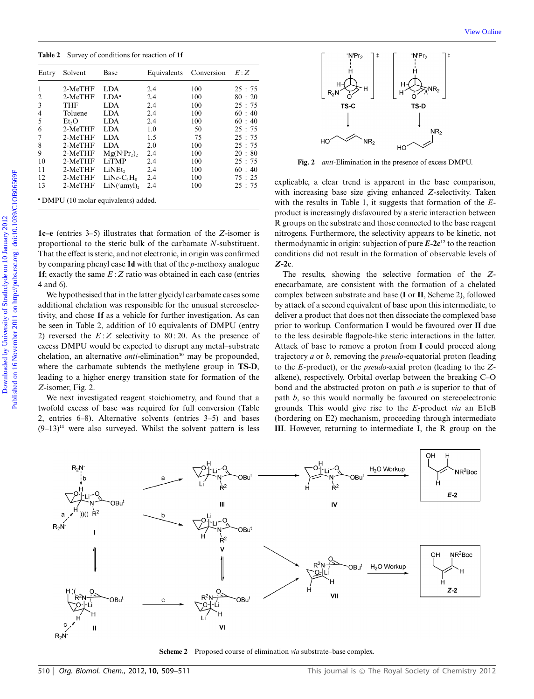**Table 2** Survey of conditions for reaction of **1f**

|                                                                   | Entry Solvent      | Base                                                           |                                                                                                                                                                                                                   | Equivalents Conversion | E:Z                                                           |                                                                                                                                                                                                                                                                                                                                                                               |
|-------------------------------------------------------------------|--------------------|----------------------------------------------------------------|-------------------------------------------------------------------------------------------------------------------------------------------------------------------------------------------------------------------|------------------------|---------------------------------------------------------------|-------------------------------------------------------------------------------------------------------------------------------------------------------------------------------------------------------------------------------------------------------------------------------------------------------------------------------------------------------------------------------|
|                                                                   | 2-MeTHF            | <b>LDA</b>                                                     | 2.4                                                                                                                                                                                                               | 100                    | 25:75                                                         |                                                                                                                                                                                                                                                                                                                                                                               |
| $\overline{c}$                                                    | 2-MeTHF            | $LDA^a$                                                        | 2.4                                                                                                                                                                                                               | 100                    | 80:20                                                         |                                                                                                                                                                                                                                                                                                                                                                               |
| $\mathfrak{Z}$                                                    | <b>THF</b>         | <b>LDA</b>                                                     | 2.4                                                                                                                                                                                                               | 100                    | 25:75                                                         | TS-D<br>TS-C                                                                                                                                                                                                                                                                                                                                                                  |
| 4                                                                 | Toluene            | <b>LDA</b>                                                     | 2.4                                                                                                                                                                                                               | 100                    | 60:40                                                         |                                                                                                                                                                                                                                                                                                                                                                               |
| 5                                                                 | Et <sub>2</sub> O  | <b>LDA</b>                                                     | 2.4                                                                                                                                                                                                               | 100                    | 60:40                                                         |                                                                                                                                                                                                                                                                                                                                                                               |
| 6                                                                 | 2-MeTHF            | LDA                                                            | 1.0                                                                                                                                                                                                               | 50                     | 25:75                                                         | NR <sub>2</sub>                                                                                                                                                                                                                                                                                                                                                               |
| 7                                                                 | 2-MeTHF            | <b>LDA</b><br><b>LDA</b>                                       | 1.5                                                                                                                                                                                                               | 75<br>100              | 25:75<br>25:75                                                | HO<br>NR <sub>2</sub>                                                                                                                                                                                                                                                                                                                                                         |
| 8<br>9                                                            | 2-MeTHF<br>2-MeTHF | Mg(N'Pr <sub>2</sub> ) <sub>2</sub>                            | 2.0<br>2.4                                                                                                                                                                                                        | 100                    | 20:80                                                         | HO                                                                                                                                                                                                                                                                                                                                                                            |
| 10                                                                | 2-MeTHF            | LiTMP                                                          | 2.4                                                                                                                                                                                                               | 100                    | 25:75                                                         | Fig. 2 anti-Elimination in the presence of excess DMPU.                                                                                                                                                                                                                                                                                                                       |
| 11                                                                | 2-MeTHF            | LiNEt,                                                         | 2.4                                                                                                                                                                                                               | 100                    | 60:40                                                         |                                                                                                                                                                                                                                                                                                                                                                               |
| 12                                                                | 2-MeTHF            | $LiNc-C_4H_8$                                                  | 2.4                                                                                                                                                                                                               | 100                    | 75:25                                                         |                                                                                                                                                                                                                                                                                                                                                                               |
| 13                                                                | 2-MeTHF            | $LiN$ <sup><math>(4</math></sup> amyl $),$                     | 2.4                                                                                                                                                                                                               | 100                    | 25:75                                                         | explicable, a clear trend is apparent in the base comparison,<br>with increasing base size giving enhanced Z-selectivity. Taken                                                                                                                                                                                                                                               |
|                                                                   |                    |                                                                | proportional to the steric bulk of the carbamate N-substituent.<br>That the effect is steric, and not electronic, in origin was confirmed<br>by comparing phenyl case $1d$ with that of the $p$ -methoxy analogue |                        |                                                               | thermodynamic in origin: subjection of pure $E-2c^{12}$ to the reaction<br>conditions did not result in the formation of observable levels of                                                                                                                                                                                                                                 |
|                                                                   |                    |                                                                |                                                                                                                                                                                                                   |                        |                                                               | $Z-2c$ .                                                                                                                                                                                                                                                                                                                                                                      |
| 4 and 6).                                                         |                    |                                                                | <b>1f</b> ; exactly the same $E:Z$ ratio was obtained in each case (entries<br>We hypothesised that in the latter glycidyl carbamate cases some                                                                   |                        |                                                               | The results, showing the selective formation of the Z-<br>enecarbamate, are consistent with the formation of a chelated<br>complex between substrate and base (I or II, Scheme 2), followed                                                                                                                                                                                   |
| additional chelation was responsible for the unusual stereoselec- |                    |                                                                |                                                                                                                                                                                                                   |                        |                                                               | by attack of a second equivalent of base upon this intermediate, to                                                                                                                                                                                                                                                                                                           |
|                                                                   |                    |                                                                | tivity, and chose 1f as a vehicle for further investigation. As can                                                                                                                                               |                        |                                                               | deliver a product that does not then dissociate the complexed base                                                                                                                                                                                                                                                                                                            |
|                                                                   |                    |                                                                |                                                                                                                                                                                                                   |                        |                                                               |                                                                                                                                                                                                                                                                                                                                                                               |
|                                                                   |                    |                                                                | be seen in Table 2, addition of 10 equivalents of DMPU (entry                                                                                                                                                     |                        | prior to workup. Conformation I would be favoured over II due |                                                                                                                                                                                                                                                                                                                                                                               |
|                                                                   |                    |                                                                |                                                                                                                                                                                                                   |                        |                                                               |                                                                                                                                                                                                                                                                                                                                                                               |
|                                                                   |                    | 2) reversed the $E:Z$ selectivity to 80:20. As the presence of |                                                                                                                                                                                                                   |                        |                                                               |                                                                                                                                                                                                                                                                                                                                                                               |
|                                                                   |                    |                                                                | excess DMPU would be expected to disrupt any metal-substrate                                                                                                                                                      |                        |                                                               |                                                                                                                                                                                                                                                                                                                                                                               |
|                                                                   |                    |                                                                | chelation, an alternative <i>anti</i> -elimination <sup>10</sup> may be propounded,                                                                                                                               |                        |                                                               |                                                                                                                                                                                                                                                                                                                                                                               |
|                                                                   |                    |                                                                | where the carbamate subtends the methylene group in TS-D,                                                                                                                                                         |                        |                                                               |                                                                                                                                                                                                                                                                                                                                                                               |
|                                                                   |                    |                                                                |                                                                                                                                                                                                                   |                        |                                                               |                                                                                                                                                                                                                                                                                                                                                                               |
|                                                                   |                    |                                                                | leading to a higher energy transition state for formation of the                                                                                                                                                  |                        |                                                               | to the less desirable flagpole-like steric interactions in the latter.<br>Attack of base to remove a proton from I could proceed along<br>trajectory $a$ or $b$ , removing the <i>pseudo</i> -equatorial proton (leading<br>to the $E$ -product), or the <i>pseudo</i> -axial proton (leading to the $Z$ -<br>alkene), respectively. Orbital overlap between the breaking C-O |
|                                                                   | Z-isomer, Fig. 2.  |                                                                | We next investigated reagent stoichiometry, and found that a                                                                                                                                                      |                        |                                                               | bond and the abstracted proton on path $a$ is superior to that of<br>path $b$ , so this would normally be favoured on stereoelectronic                                                                                                                                                                                                                                        |

We next investigated reagent stoichiometry, and found that a twofold excess of base was required for full conversion (Table 2, entries 6–8). Alternative solvents (entries 3–5) and bases  $(9-13)^{11}$  were also surveyed. Whilst the solvent pattern is less



**Fig. 2** *anti*-Elimination in the presence of excess DMPU.

The results, showing the selective formation of the *Z*enecarbamate, are consistent with the formation of a chelated complex between substrate and base (**I** or **II**, Scheme 2), followed by attack of a second equivalent of base upon this intermediate, to deliver a product that does not then dissociate the complexed base prior to workup. Conformation **I** would be favoured over **II** due to the less desirable flagpole-like steric interactions in the latter. Attack of base to remove a proton from **I** could proceed along trajectory *a* or *b*, removing the *pseudo*-equatorial proton (leading to the *E*-product), or the *pseudo*-axial proton (leading to the *Z*alkene), respectively. Orbital overlap between the breaking C–O bond and the abstracted proton on path *a* is superior to that of path *b*, so this would normally be favoured on stereoelectronic grounds. This would give rise to the *E*-product *via* an E1cB (bordering on E2) mechanism, proceeding through intermediate **III**. However, returning to intermediate **I**, the R group on the



**Scheme 2** Proposed course of elimination *via* substrate–base complex.